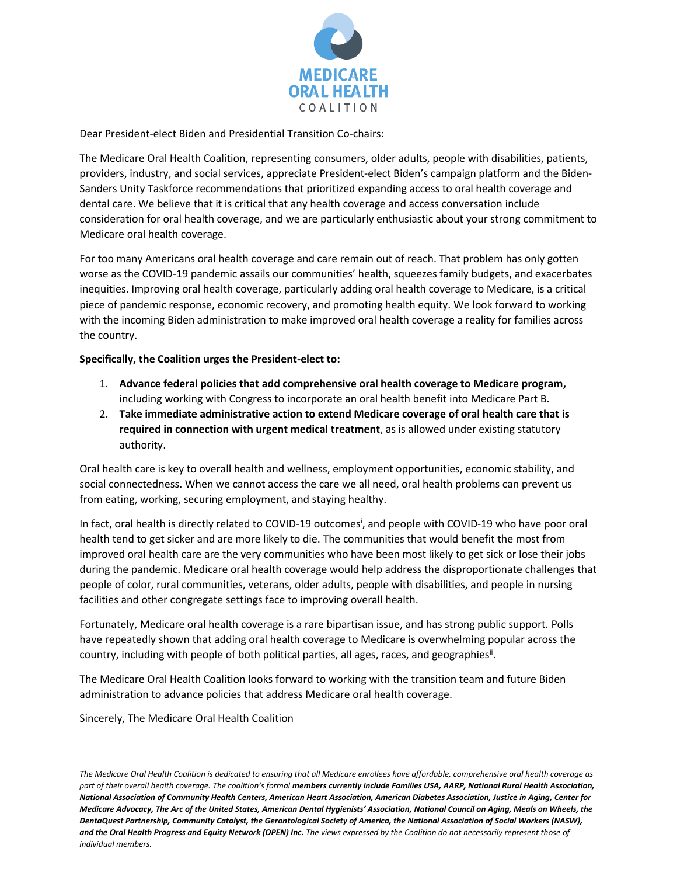

Dear President-elect Biden and Presidential Transition Co-chairs:

The Medicare Oral Health Coalition, representing consumers, older adults, people with disabilities, patients, providers, industry, and social services, appreciate President-elect Biden's campaign platform and the Biden-Sanders Unity Taskforce recommendations that prioritized expanding access to oral health coverage and dental care. We believe that it is critical that any health coverage and access conversation include consideration for oral health coverage, and we are particularly enthusiastic about your strong commitment to Medicare oral health coverage.

For too many Americans oral health coverage and care remain out of reach. That problem has only gotten worse as the COVID-19 pandemic assails our communities' health, squeezes family budgets, and exacerbates inequities. Improving oral health coverage, particularly adding oral health coverage to Medicare, is a critical piece of pandemic response, economic recovery, and promoting health equity. We look forward to working with the incoming Biden administration to make improved oral health coverage a reality for families across the country.

## **Specifically, the Coalition urges the President-elect to:**

- 1. **Advance federal policies that add comprehensive oral health coverage to Medicare program,** including working with Congress to incorporate an oral health benefit into Medicare Part B.
- 2. **Take immediate administrative action to extend Medicare coverage of oral health care that is required in connection with urgent medical treatment**, as is allowed under existing statutory authority.

Oral health care is key to overall health and wellness, employment opportunities, economic stability, and social connectedness. When we cannot access the care we all need, oral health problems can prevent us from eating, working, securing employment, and staying healthy.

In fact, oral health is directly related to COVID-19 outcomes<sup>i</sup>, and people with COVID-19 who have poor oral health tend to get sicker and are more likely to die. The communities that would benefit the most from improved oral health care are the very communities who have been most likely to get sick or lose their jobs during the pandemic. Medicare oral health coverage would help address the disproportionate challenges that people of color, rural communities, veterans, older adults, people with disabilities, and people in nursing facilities and other congregate settings face to improving overall health.

Fortunately, Medicare oral health coverage is a rare bipartisan issue, and has strong public support. Polls have repeatedly shown that adding oral health coverage to Medicare is overwhelming popular across the country, including with people of both political parties, all ages, races, and geographies<sup>ii</sup>.

The Medicare Oral Health Coalition looks forward to working with the transition team and future Biden administration to advance policies that address Medicare oral health coverage.

Sincerely, The Medicare Oral Health Coalition

*The Medicare Oral Health Coalition is dedicated to ensuring that all Medicare enrollees have affordable, comprehensive oral health coverage as*  part of their overall health coverage. The coalition's formal *members currently include Families USA*, AARP, National Rural Health Association, *National Association of Community Health Centers, American Heart Association, American Diabetes Association, Justice in Aging, Center for Medicare Advocacy, The Arc of the United States, American Dental Hygienists' Association, National Council on Aging, Meals on Wheels, the DentaQuest Partnership, Community Catalyst, the Gerontological Society of America, the National Association of Social Workers (NASW), and the Oral Health Progress and Equity Network (OPEN) Inc. The views expressed by the Coalition do not necessarily represent those of individual members.*